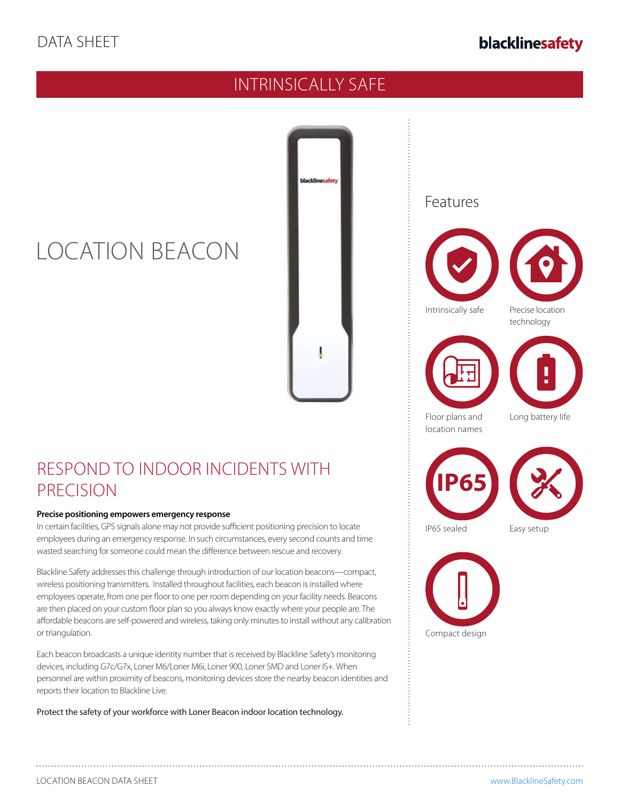## blacklinesafety

## INTRINSICALLY SAFE



# RESPOND TO INDOOR INCIDENTS WITH

#### **Precise positioning empowers emergency response**

LOCATION BEACON

PRECISION

In certain facilities, GPS signals alone may not provide sufficient positioning precision to locate employees during an emergency response. In such circumstances, every second counts and time wasted searching for someone could mean the difference between rescue and recovery.

Blackline Safety addresses this challenge through introduction of our location beacons—compact, wireless positioning transmitters. Installed throughout facilities, each beacon is installed where employees operate, from one per floor to one per room depending on your facility needs. Beacons are then placed on your custom floor plan so you always know exactly where your people are. The affordable beacons are self-powered and wireless, taking only minutes to install without any calibration or triangulation.

Each beacon broadcasts a unique identity number that is received by Blackline Safety's monitoring devices, including G7c/G7x, Loner M6/Loner M6i, Loner 900, Loner SMD and Loner IS+. When personnel are within proximity of beacons, monitoring devices store the nearby beacon identities and reports their location to Blackline Live.

Protect the safety of your workforce with Loner Beacon indoor location technology.

### Features







Floor plans and location names Long battery life



IP65 sealed Easy setup